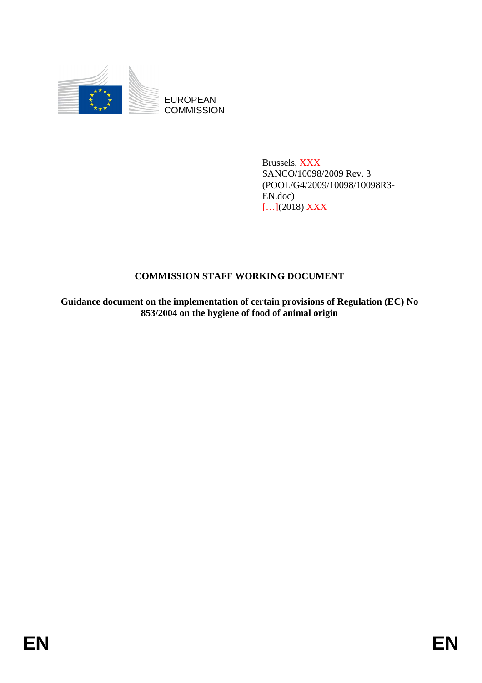

EUROPEAN **COMMISSION** 

> Brussels, XXX SANCO/10098/2009 Rev. 3 (POOL/G4/2009/10098/10098R3- EN.doc) […](2018) XXX

## **COMMISSION STAFF WORKING DOCUMENT**

**Guidance document on the implementation of certain provisions of Regulation (EC) No 853/2004 on the hygiene of food of animal origin**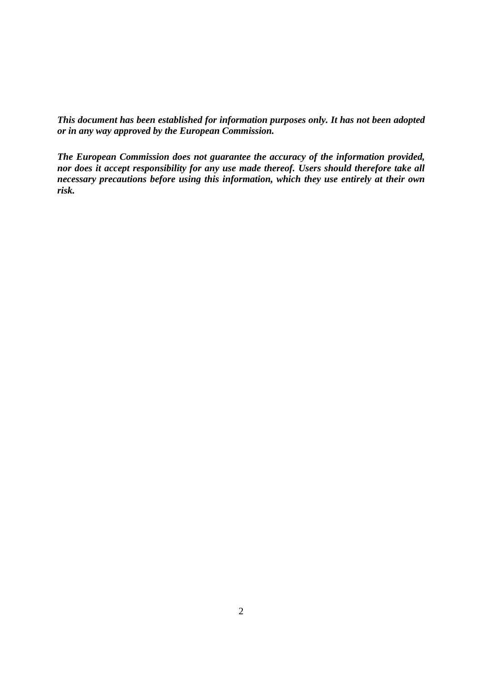*This document has been established for information purposes only. It has not been adopted or in any way approved by the European Commission.* 

*The European Commission does not guarantee the accuracy of the information provided, nor does it accept responsibility for any use made thereof. Users should therefore take all necessary precautions before using this information, which they use entirely at their own risk.*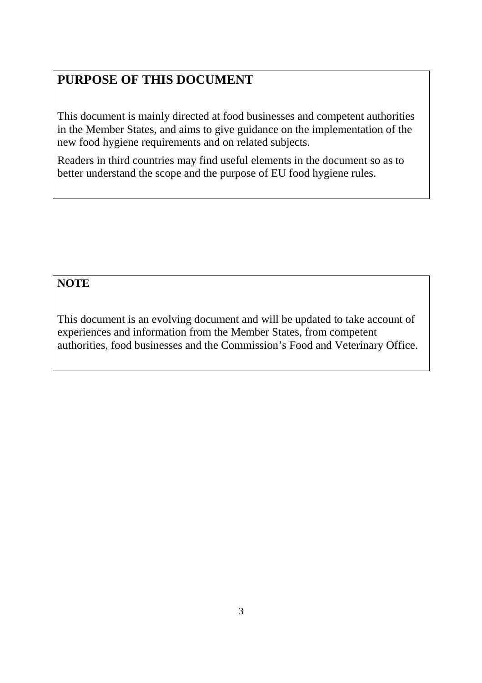# **PURPOSE OF THIS DOCUMENT**

This document is mainly directed at food businesses and competent authorities in the Member States, and aims to give guidance on the implementation of the new food hygiene requirements and on related subjects.

Readers in third countries may find useful elements in the document so as to better understand the scope and the purpose of EU food hygiene rules.

## **NOTE**

This document is an evolving document and will be updated to take account of experiences and information from the Member States, from competent authorities, food businesses and the Commission's Food and Veterinary Office.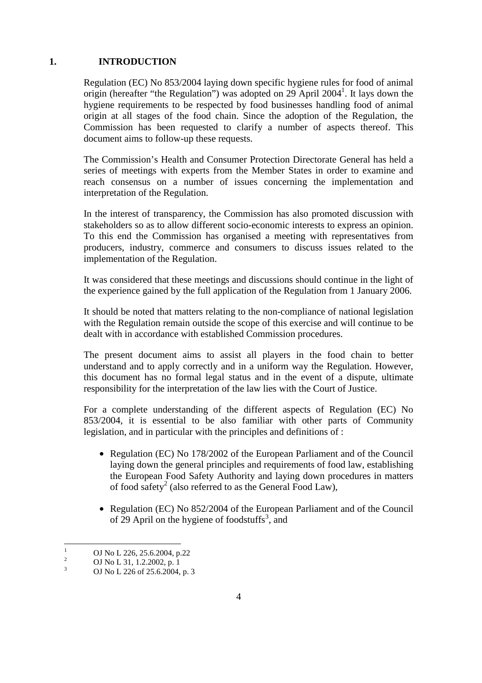## **1. INTRODUCTION**

Regulation (EC) No 853/2004 laying down specific hygiene rules for food of animal origin (hereafter "the Regulation") was adopted on 29 April 2004<sup>1</sup>. It lays down the hygiene requirements to be respected by food businesses handling food of animal origin at all stages of the food chain. Since the adoption of the Regulation, the Commission has been requested to clarify a number of aspects thereof. This document aims to follow-up these requests.

The Commission's Health and Consumer Protection Directorate General has held a series of meetings with experts from the Member States in order to examine and reach consensus on a number of issues concerning the implementation and interpretation of the Regulation.

In the interest of transparency, the Commission has also promoted discussion with stakeholders so as to allow different socio-economic interests to express an opinion. To this end the Commission has organised a meeting with representatives from producers, industry, commerce and consumers to discuss issues related to the implementation of the Regulation.

It was considered that these meetings and discussions should continue in the light of the experience gained by the full application of the Regulation from 1 January 2006.

It should be noted that matters relating to the non-compliance of national legislation with the Regulation remain outside the scope of this exercise and will continue to be dealt with in accordance with established Commission procedures.

The present document aims to assist all players in the food chain to better understand and to apply correctly and in a uniform way the Regulation. However, this document has no formal legal status and in the event of a dispute, ultimate responsibility for the interpretation of the law lies with the Court of Justice.

For a complete understanding of the different aspects of Regulation (EC) No 853/2004, it is essential to be also familiar with other parts of Community legislation, and in particular with the principles and definitions of :

- Regulation (EC) No 178/2002 of the European Parliament and of the Council laying down the general principles and requirements of food law, establishing the European Food Safety Authority and laying down procedures in matters of food safety<sup>2</sup> (also referred to as the General Food Law),
- Regulation (EC) No 852/2004 of the European Parliament and of the Council of 29 April on the hygiene of foodstuffs<sup>3</sup>, and

 $\frac{1}{1}$  OJ No L 226, 25.6.2004, p.22 2

OJ No L 31, 1.2.2002, p. 1

<sup>3</sup> OJ No L 226 of 25.6.2004, p. 3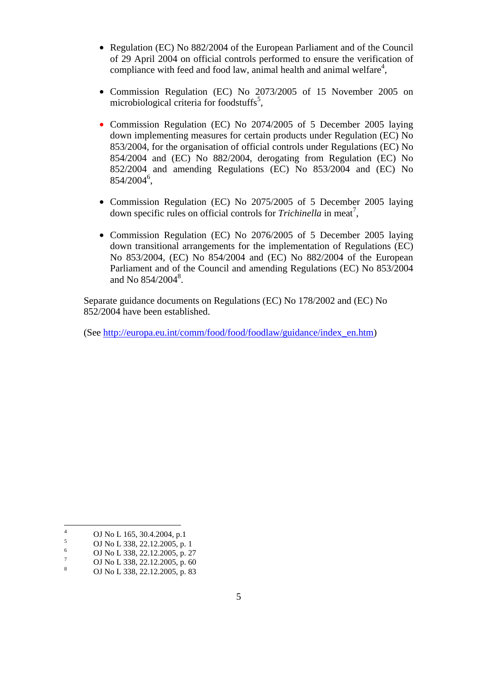- Regulation (EC) No 882/2004 of the European Parliament and of the Council of 29 April 2004 on official controls performed to ensure the verification of compliance with feed and food law, animal health and animal welfare $4$ ,
- Commission Regulation (EC) No 2073/2005 of 15 November 2005 on microbiological criteria for foodstuffs<sup>5</sup>,
- Commission Regulation (EC) No 2074/2005 of 5 December 2005 laying down implementing measures for certain products under Regulation (EC) No 853/2004, for the organisation of official controls under Regulations (EC) No 854/2004 and (EC) No 882/2004, derogating from Regulation (EC) No 852/2004 and amending Regulations (EC) No 853/2004 and (EC) No  $854/2004^6$ ,
- Commission Regulation (EC) No 2075/2005 of 5 December 2005 laying down specific rules on official controls for *Trichinella* in meat<sup>7</sup>,
- Commission Regulation (EC) No 2076/2005 of 5 December 2005 laying down transitional arrangements for the implementation of Regulations (EC) No 853/2004, (EC) No 854/2004 and (EC) No 882/2004 of the European Parliament and of the Council and amending Regulations (EC) No 853/2004 and No  $854/2004^8$ .

Separate guidance documents on Regulations (EC) No 178/2002 and (EC) No 852/2004 have been established.

(See http://europa.eu.int/comm/food/food/foodlaw/guidance/index\_en.htm)

 $\frac{1}{4}$  OJ No L 165, 30.4.2004, p.1 5

OJ No L 338, 22.12.2005, p. 1 6

OJ No L 338, 22.12.2005, p. 27 7

OJ No L 338, 22.12.2005, p. 60 8

OJ No L 338, 22.12.2005, p. 83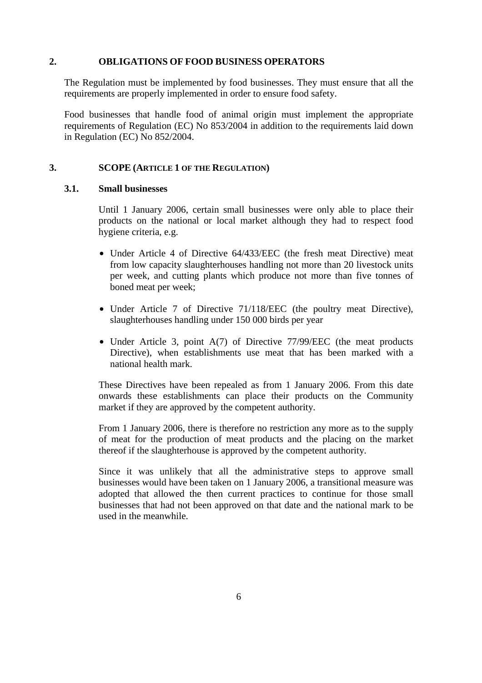#### **2. OBLIGATIONS OF FOOD BUSINESS OPERATORS**

The Regulation must be implemented by food businesses. They must ensure that all the requirements are properly implemented in order to ensure food safety.

Food businesses that handle food of animal origin must implement the appropriate requirements of Regulation (EC) No 853/2004 in addition to the requirements laid down in Regulation (EC) No 852/2004.

## **3. SCOPE (ARTICLE 1 OF THE REGULATION)**

#### **3.1. Small businesses**

Until 1 January 2006, certain small businesses were only able to place their products on the national or local market although they had to respect food hygiene criteria, e.g.

- Under Article 4 of Directive 64/433/EEC (the fresh meat Directive) meat from low capacity slaughterhouses handling not more than 20 livestock units per week, and cutting plants which produce not more than five tonnes of boned meat per week;
- Under Article 7 of Directive 71/118/EEC (the poultry meat Directive), slaughterhouses handling under 150 000 birds per year
- Under Article 3, point A(7) of Directive 77/99/EEC (the meat products Directive), when establishments use meat that has been marked with a national health mark.

These Directives have been repealed as from 1 January 2006. From this date onwards these establishments can place their products on the Community market if they are approved by the competent authority.

From 1 January 2006, there is therefore no restriction any more as to the supply of meat for the production of meat products and the placing on the market thereof if the slaughterhouse is approved by the competent authority.

Since it was unlikely that all the administrative steps to approve small businesses would have been taken on 1 January 2006, a transitional measure was adopted that allowed the then current practices to continue for those small businesses that had not been approved on that date and the national mark to be used in the meanwhile.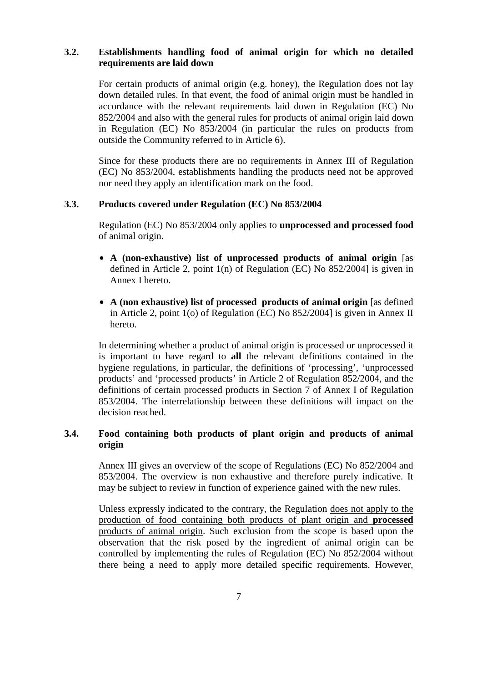## **3.2. Establishments handling food of animal origin for which no detailed requirements are laid down**

For certain products of animal origin (e.g. honey), the Regulation does not lay down detailed rules. In that event, the food of animal origin must be handled in accordance with the relevant requirements laid down in Regulation (EC) No 852/2004 and also with the general rules for products of animal origin laid down in Regulation (EC) No 853/2004 (in particular the rules on products from outside the Community referred to in Article 6).

Since for these products there are no requirements in Annex III of Regulation (EC) No 853/2004, establishments handling the products need not be approved nor need they apply an identification mark on the food.

## **3.3. Products covered under Regulation (EC) No 853/2004**

Regulation (EC) No 853/2004 only applies to **unprocessed and processed food** of animal origin.

- **A (non-exhaustive) list of unprocessed products of animal origin** [as defined in Article 2, point 1(n) of Regulation (EC) No 852/2004] is given in Annex I hereto.
- **A (non exhaustive) list of processed products of animal origin** [as defined in Article 2, point 1(o) of Regulation (EC) No 852/2004] is given in Annex II hereto.

In determining whether a product of animal origin is processed or unprocessed it is important to have regard to **all** the relevant definitions contained in the hygiene regulations, in particular, the definitions of 'processing', 'unprocessed products' and 'processed products' in Article 2 of Regulation 852/2004, and the definitions of certain processed products in Section 7 of Annex I of Regulation 853/2004. The interrelationship between these definitions will impact on the decision reached.

## **3.4. Food containing both products of plant origin and products of animal origin**

Annex III gives an overview of the scope of Regulations (EC) No 852/2004 and 853/2004. The overview is non exhaustive and therefore purely indicative. It may be subject to review in function of experience gained with the new rules.

Unless expressly indicated to the contrary, the Regulation does not apply to the production of food containing both products of plant origin and **processed** products of animal origin. Such exclusion from the scope is based upon the observation that the risk posed by the ingredient of animal origin can be controlled by implementing the rules of Regulation (EC) No 852/2004 without there being a need to apply more detailed specific requirements. However,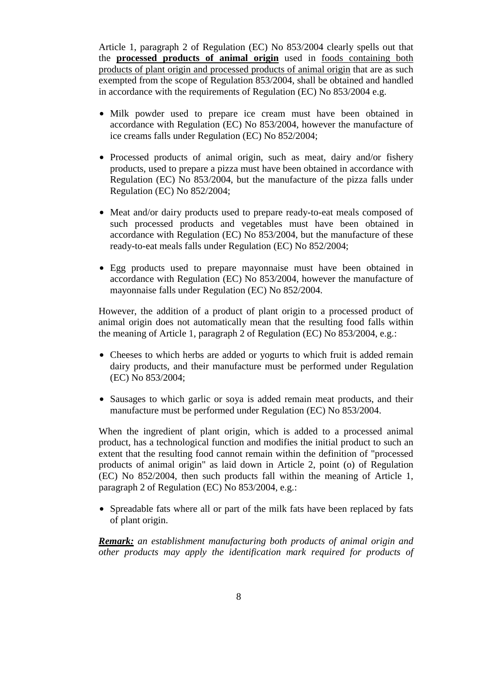Article 1, paragraph 2 of Regulation (EC) No 853/2004 clearly spells out that the **processed products of animal origin** used in foods containing both products of plant origin and processed products of animal origin that are as such exempted from the scope of Regulation 853/2004, shall be obtained and handled in accordance with the requirements of Regulation (EC) No 853/2004 e.g.

- Milk powder used to prepare ice cream must have been obtained in accordance with Regulation (EC) No 853/2004, however the manufacture of ice creams falls under Regulation (EC) No 852/2004;
- Processed products of animal origin, such as meat, dairy and/or fishery products, used to prepare a pizza must have been obtained in accordance with Regulation (EC) No 853/2004, but the manufacture of the pizza falls under Regulation (EC) No 852/2004;
- Meat and/or dairy products used to prepare ready-to-eat meals composed of such processed products and vegetables must have been obtained in accordance with Regulation (EC) No 853/2004, but the manufacture of these ready-to-eat meals falls under Regulation (EC) No 852/2004;
- Egg products used to prepare mayonnaise must have been obtained in accordance with Regulation (EC) No 853/2004, however the manufacture of mayonnaise falls under Regulation (EC) No 852/2004.

However, the addition of a product of plant origin to a processed product of animal origin does not automatically mean that the resulting food falls within the meaning of Article 1, paragraph 2 of Regulation (EC) No 853/2004, e.g.:

- Cheeses to which herbs are added or yogurts to which fruit is added remain dairy products, and their manufacture must be performed under Regulation (EC) No 853/2004;
- Sausages to which garlic or soya is added remain meat products, and their manufacture must be performed under Regulation (EC) No 853/2004.

When the ingredient of plant origin, which is added to a processed animal product, has a technological function and modifies the initial product to such an extent that the resulting food cannot remain within the definition of "processed products of animal origin" as laid down in Article 2, point (o) of Regulation (EC) No 852/2004, then such products fall within the meaning of Article 1, paragraph 2 of Regulation (EC) No 853/2004, e.g.:

• Spreadable fats where all or part of the milk fats have been replaced by fats of plant origin.

*Remark: an establishment manufacturing both products of animal origin and other products may apply the identification mark required for products of*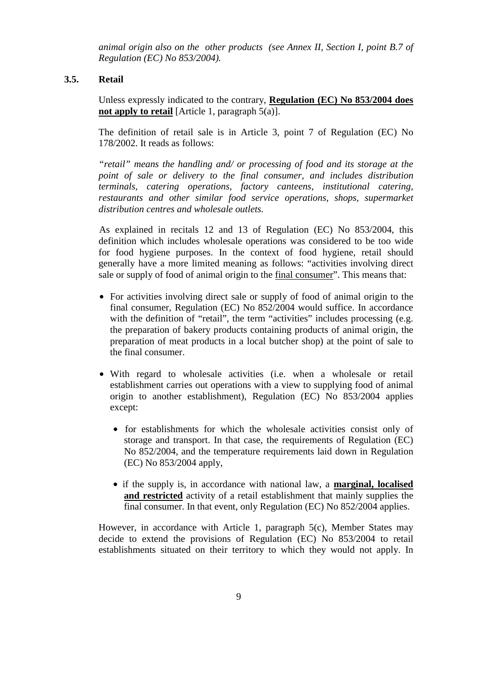*animal origin also on the other products (see Annex II, Section I, point B.7 of Regulation (EC) No 853/2004).* 

## **3.5. Retail**

Unless expressly indicated to the contrary, **Regulation (EC) No 853/2004 does not apply to retail** [Article 1, paragraph 5(a)].

The definition of retail sale is in Article 3, point 7 of Regulation (EC) No 178/2002. It reads as follows:

*"retail" means the handling and/ or processing of food and its storage at the point of sale or delivery to the final consumer, and includes distribution terminals, catering operations, factory canteens, institutional catering, restaurants and other similar food service operations, shops, supermarket distribution centres and wholesale outlets.* 

As explained in recitals 12 and 13 of Regulation (EC) No 853/2004, this definition which includes wholesale operations was considered to be too wide for food hygiene purposes. In the context of food hygiene, retail should generally have a more limited meaning as follows: "activities involving direct sale or supply of food of animal origin to the final consumer". This means that:

- For activities involving direct sale or supply of food of animal origin to the final consumer, Regulation (EC) No 852/2004 would suffice. In accordance with the definition of "retail", the term "activities" includes processing (e.g. the preparation of bakery products containing products of animal origin, the preparation of meat products in a local butcher shop) at the point of sale to the final consumer.
- With regard to wholesale activities (i.e. when a wholesale or retail establishment carries out operations with a view to supplying food of animal origin to another establishment), Regulation (EC) No 853/2004 applies except:
	- for establishments for which the wholesale activities consist only of storage and transport. In that case, the requirements of Regulation (EC) No 852/2004, and the temperature requirements laid down in Regulation (EC) No 853/2004 apply,
	- if the supply is, in accordance with national law, a **marginal, localised and restricted** activity of a retail establishment that mainly supplies the final consumer. In that event, only Regulation (EC) No 852/2004 applies.

However, in accordance with Article 1, paragraph 5(c), Member States may decide to extend the provisions of Regulation (EC) No 853/2004 to retail establishments situated on their territory to which they would not apply. In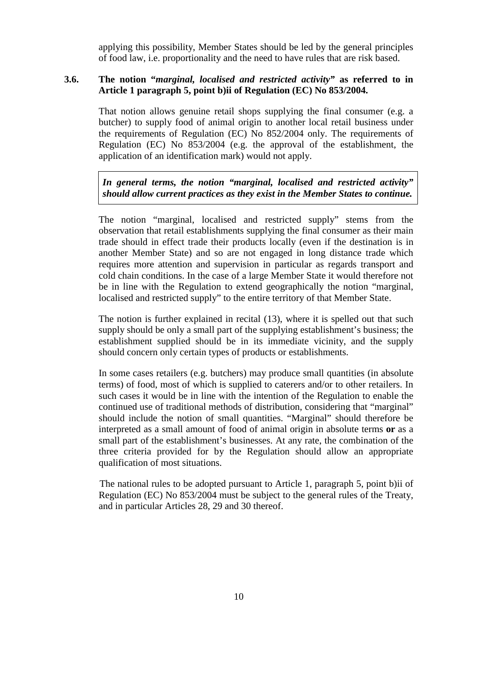applying this possibility, Member States should be led by the general principles of food law, i.e. proportionality and the need to have rules that are risk based.

## **3.6. The notion "***marginal, localised and restricted activity"* **as referred to in Article 1 paragraph 5, point b)ii of Regulation (EC) No 853/2004.**

That notion allows genuine retail shops supplying the final consumer (e.g. a butcher) to supply food of animal origin to another local retail business under the requirements of Regulation (EC) No 852/2004 only. The requirements of Regulation (EC) No 853/2004 (e.g. the approval of the establishment, the application of an identification mark) would not apply.

*In general terms, the notion "marginal, localised and restricted activity" should allow current practices as they exist in the Member States to continue.* 

The notion "marginal, localised and restricted supply" stems from the observation that retail establishments supplying the final consumer as their main trade should in effect trade their products locally (even if the destination is in another Member State) and so are not engaged in long distance trade which requires more attention and supervision in particular as regards transport and cold chain conditions. In the case of a large Member State it would therefore not be in line with the Regulation to extend geographically the notion "marginal, localised and restricted supply" to the entire territory of that Member State.

The notion is further explained in recital (13), where it is spelled out that such supply should be only a small part of the supplying establishment's business; the establishment supplied should be in its immediate vicinity, and the supply should concern only certain types of products or establishments.

In some cases retailers (e.g. butchers) may produce small quantities (in absolute terms) of food, most of which is supplied to caterers and/or to other retailers. In such cases it would be in line with the intention of the Regulation to enable the continued use of traditional methods of distribution, considering that "marginal" should include the notion of small quantities. "Marginal" should therefore be interpreted as a small amount of food of animal origin in absolute terms **or** as a small part of the establishment's businesses. At any rate, the combination of the three criteria provided for by the Regulation should allow an appropriate qualification of most situations.

The national rules to be adopted pursuant to Article 1, paragraph 5, point b)ii of Regulation (EC) No 853/2004 must be subject to the general rules of the Treaty, and in particular Articles 28, 29 and 30 thereof.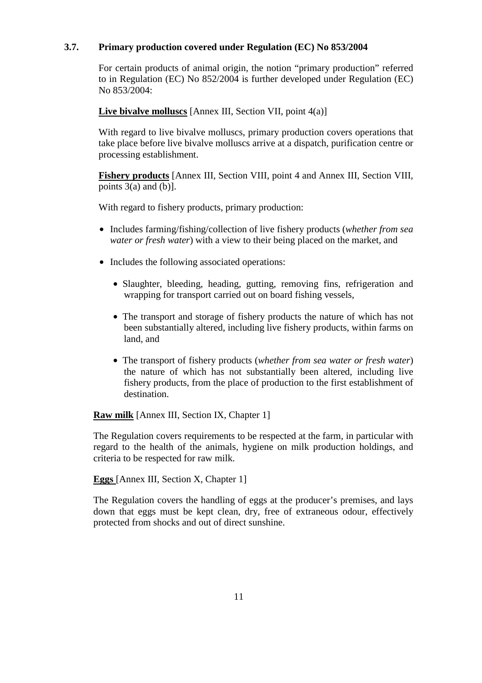## **3.7. Primary production covered under Regulation (EC) No 853/2004**

For certain products of animal origin, the notion "primary production" referred to in Regulation (EC) No 852/2004 is further developed under Regulation (EC) No 853/2004:

**Live bivalve molluscs** [Annex III, Section VII, point 4(a)]

With regard to live bivalve molluscs, primary production covers operations that take place before live bivalve molluscs arrive at a dispatch, purification centre or processing establishment.

**Fishery products** [Annex III, Section VIII, point 4 and Annex III, Section VIII, points  $3(a)$  and  $(b)$ ].

With regard to fishery products, primary production:

- Includes farming/fishing/collection of live fishery products (*whether from sea water or fresh water*) with a view to their being placed on the market, and
- Includes the following associated operations:
	- Slaughter, bleeding, heading, gutting, removing fins, refrigeration and wrapping for transport carried out on board fishing vessels,
	- The transport and storage of fishery products the nature of which has not been substantially altered, including live fishery products, within farms on land, and
	- The transport of fishery products (*whether from sea water or fresh water*) the nature of which has not substantially been altered, including live fishery products, from the place of production to the first establishment of destination.

**Raw milk** [Annex III, Section IX, Chapter 1]

The Regulation covers requirements to be respected at the farm, in particular with regard to the health of the animals, hygiene on milk production holdings, and criteria to be respected for raw milk.

**Eggs** [Annex III, Section X, Chapter 1]

The Regulation covers the handling of eggs at the producer's premises, and lays down that eggs must be kept clean, dry, free of extraneous odour, effectively protected from shocks and out of direct sunshine.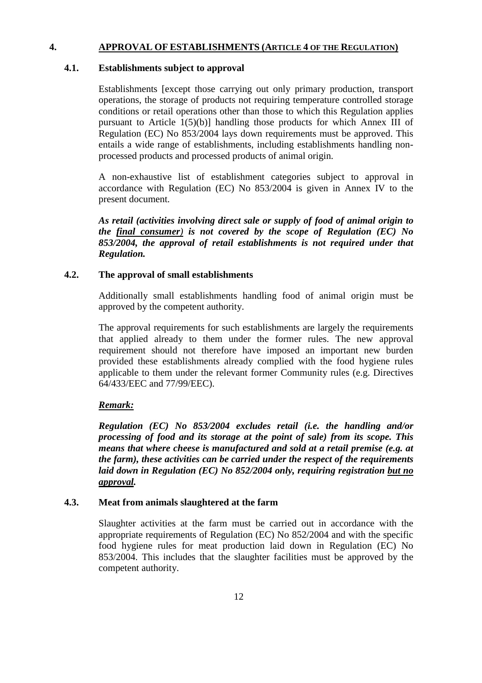## **4. APPROVAL OF ESTABLISHMENTS (ARTICLE 4 OF THE REGULATION)**

## **4.1. Establishments subject to approval**

Establishments [except those carrying out only primary production, transport operations, the storage of products not requiring temperature controlled storage conditions or retail operations other than those to which this Regulation applies pursuant to Article 1(5)(b)] handling those products for which Annex III of Regulation (EC) No 853/2004 lays down requirements must be approved. This entails a wide range of establishments, including establishments handling nonprocessed products and processed products of animal origin.

A non-exhaustive list of establishment categories subject to approval in accordance with Regulation (EC) No 853/2004 is given in Annex IV to the present document.

*As retail (activities involving direct sale or supply of food of animal origin to the final consumer) is not covered by the scope of Regulation (EC) No 853/2004, the approval of retail establishments is not required under that Regulation.* 

## **4.2. The approval of small establishments**

Additionally small establishments handling food of animal origin must be approved by the competent authority.

The approval requirements for such establishments are largely the requirements that applied already to them under the former rules. The new approval requirement should not therefore have imposed an important new burden provided these establishments already complied with the food hygiene rules applicable to them under the relevant former Community rules (e.g. Directives 64/433/EEC and 77/99/EEC).

## *Remark:*

*Regulation (EC) No 853/2004 excludes retail (i.e. the handling and/or processing of food and its storage at the point of sale) from its scope. This means that where cheese is manufactured and sold at a retail premise (e.g. at the farm), these activities can be carried under the respect of the requirements laid down in Regulation (EC) No 852/2004 only, requiring registration but no approval.*

## **4.3. Meat from animals slaughtered at the farm**

Slaughter activities at the farm must be carried out in accordance with the appropriate requirements of Regulation (EC) No 852/2004 and with the specific food hygiene rules for meat production laid down in Regulation (EC) No 853/2004. This includes that the slaughter facilities must be approved by the competent authority.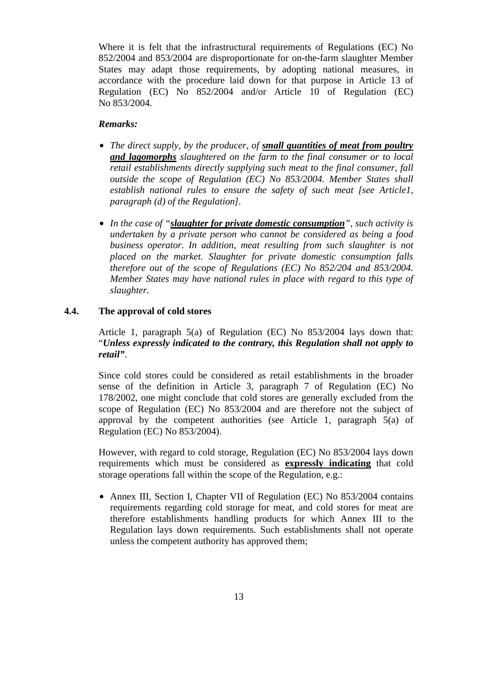Where it is felt that the infrastructural requirements of Regulations (EC) No 852/2004 and 853/2004 are disproportionate for on-the-farm slaughter Member States may adapt those requirements, by adopting national measures, in accordance with the procedure laid down for that purpose in Article 13 of Regulation (EC) No 852/2004 and/or Article 10 of Regulation (EC) No 853/2004.

## *Remarks:*

- *The direct supply, by the producer, of <i>small quantities of meat from poultry and lagomorphs slaughtered on the farm to the final consumer or to local retail establishments directly supplying such meat to the final consumer, fall outside the scope of Regulation (EC) No 853/2004. Member States shall establish national rules to ensure the safety of such meat [see Article1, paragraph (d) of the Regulation].*
- *In the case of "slaughter for private domestic consumption", such activity is undertaken by a private person who cannot be considered as being a food business operator. In addition, meat resulting from such slaughter is not placed on the market. Slaughter for private domestic consumption falls therefore out of the scope of Regulations (EC) No 852/204 and 853/2004. Member States may have national rules in place with regard to this type of slaughter.*

## **4.4. The approval of cold stores**

Article 1, paragraph 5(a) of Regulation (EC) No 853/2004 lays down that: "*Unless expressly indicated to the contrary, this Regulation shall not apply to retail"*.

Since cold stores could be considered as retail establishments in the broader sense of the definition in Article 3, paragraph 7 of Regulation (EC) No 178/2002, one might conclude that cold stores are generally excluded from the scope of Regulation (EC) No 853/2004 and are therefore not the subject of approval by the competent authorities (see Article 1, paragraph 5(a) of Regulation (EC) No 853/2004).

However, with regard to cold storage, Regulation (EC) No 853/2004 lays down requirements which must be considered as **expressly indicating** that cold storage operations fall within the scope of the Regulation, e.g.:

• Annex III, Section I, Chapter VII of Regulation (EC) No 853/2004 contains requirements regarding cold storage for meat, and cold stores for meat are therefore establishments handling products for which Annex III to the Regulation lays down requirements. Such establishments shall not operate unless the competent authority has approved them;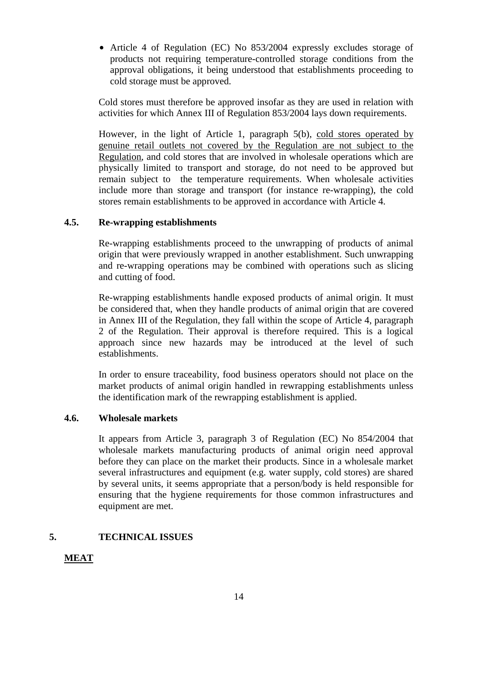• Article 4 of Regulation (EC) No 853/2004 expressly excludes storage of products not requiring temperature-controlled storage conditions from the approval obligations, it being understood that establishments proceeding to cold storage must be approved.

Cold stores must therefore be approved insofar as they are used in relation with activities for which Annex III of Regulation 853/2004 lays down requirements.

However, in the light of Article 1, paragraph 5(b), cold stores operated by genuine retail outlets not covered by the Regulation are not subject to the Regulation, and cold stores that are involved in wholesale operations which are physically limited to transport and storage, do not need to be approved but remain subject to the temperature requirements. When wholesale activities include more than storage and transport (for instance re-wrapping), the cold stores remain establishments to be approved in accordance with Article 4.

## **4.5. Re-wrapping establishments**

Re-wrapping establishments proceed to the unwrapping of products of animal origin that were previously wrapped in another establishment. Such unwrapping and re-wrapping operations may be combined with operations such as slicing and cutting of food.

Re-wrapping establishments handle exposed products of animal origin. It must be considered that, when they handle products of animal origin that are covered in Annex III of the Regulation, they fall within the scope of Article 4, paragraph 2 of the Regulation. Their approval is therefore required. This is a logical approach since new hazards may be introduced at the level of such establishments.

In order to ensure traceability, food business operators should not place on the market products of animal origin handled in rewrapping establishments unless the identification mark of the rewrapping establishment is applied.

## **4.6. Wholesale markets**

It appears from Article 3, paragraph 3 of Regulation (EC) No 854/2004 that wholesale markets manufacturing products of animal origin need approval before they can place on the market their products. Since in a wholesale market several infrastructures and equipment (e.g. water supply, cold stores) are shared by several units, it seems appropriate that a person/body is held responsible for ensuring that the hygiene requirements for those common infrastructures and equipment are met.

## **5. TECHNICAL ISSUES**

## **MEAT**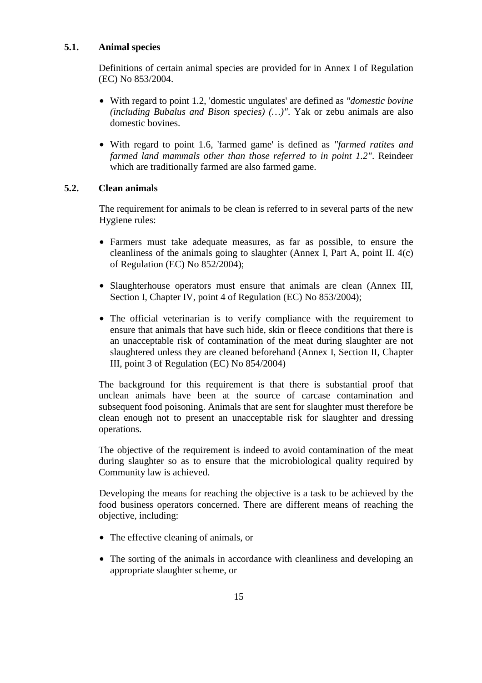## **5.1. Animal species**

Definitions of certain animal species are provided for in Annex I of Regulation (EC) No 853/2004.

- With regard to point 1.2, 'domestic ungulates' are defined as *"domestic bovine (including Bubalus and Bison species) (…)"*. Yak or zebu animals are also domestic bovines.
- With regard to point 1.6, 'farmed game' is defined as *"farmed ratites and farmed land mammals other than those referred to in point 1.2"*. Reindeer which are traditionally farmed are also farmed game.

## **5.2. Clean animals**

The requirement for animals to be clean is referred to in several parts of the new Hygiene rules:

- Farmers must take adequate measures, as far as possible, to ensure the cleanliness of the animals going to slaughter (Annex I, Part A, point II. 4(c) of Regulation (EC) No 852/2004);
- Slaughterhouse operators must ensure that animals are clean (Annex III, Section I, Chapter IV, point 4 of Regulation (EC) No 853/2004);
- The official veterinarian is to verify compliance with the requirement to ensure that animals that have such hide, skin or fleece conditions that there is an unacceptable risk of contamination of the meat during slaughter are not slaughtered unless they are cleaned beforehand (Annex I, Section II, Chapter III, point 3 of Regulation (EC) No 854/2004)

The background for this requirement is that there is substantial proof that unclean animals have been at the source of carcase contamination and subsequent food poisoning. Animals that are sent for slaughter must therefore be clean enough not to present an unacceptable risk for slaughter and dressing operations.

The objective of the requirement is indeed to avoid contamination of the meat during slaughter so as to ensure that the microbiological quality required by Community law is achieved.

Developing the means for reaching the objective is a task to be achieved by the food business operators concerned. There are different means of reaching the objective, including:

- The effective cleaning of animals, or
- The sorting of the animals in accordance with cleanliness and developing an appropriate slaughter scheme, or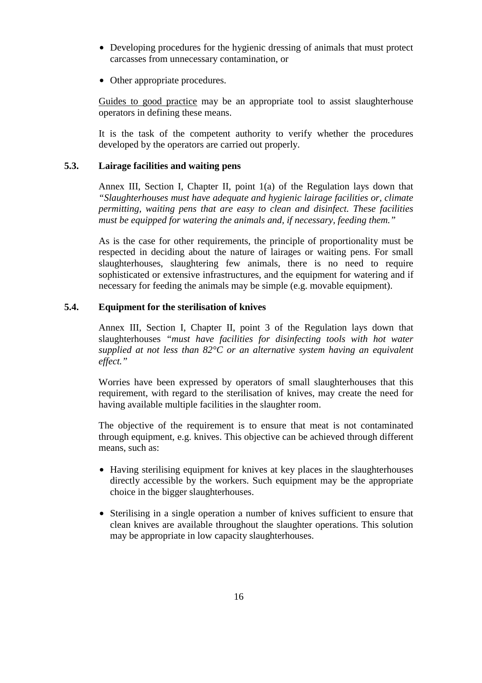- Developing procedures for the hygienic dressing of animals that must protect carcasses from unnecessary contamination, or
- Other appropriate procedures.

Guides to good practice may be an appropriate tool to assist slaughterhouse operators in defining these means.

It is the task of the competent authority to verify whether the procedures developed by the operators are carried out properly.

## **5.3. Lairage facilities and waiting pens**

Annex III, Section I, Chapter II, point 1(a) of the Regulation lays down that *"Slaughterhouses must have adequate and hygienic lairage facilities or, climate permitting, waiting pens that are easy to clean and disinfect. These facilities must be equipped for watering the animals and, if necessary, feeding them."*

As is the case for other requirements, the principle of proportionality must be respected in deciding about the nature of lairages or waiting pens. For small slaughterhouses, slaughtering few animals, there is no need to require sophisticated or extensive infrastructures, and the equipment for watering and if necessary for feeding the animals may be simple (e.g. movable equipment).

## **5.4. Equipment for the sterilisation of knives**

Annex III, Section I, Chapter II, point 3 of the Regulation lays down that slaughterhouses *"must have facilities for disinfecting tools with hot water supplied at not less than 82°C or an alternative system having an equivalent effect."* 

Worries have been expressed by operators of small slaughterhouses that this requirement, with regard to the sterilisation of knives, may create the need for having available multiple facilities in the slaughter room.

The objective of the requirement is to ensure that meat is not contaminated through equipment, e.g. knives. This objective can be achieved through different means, such as:

- Having sterilising equipment for knives at key places in the slaughterhouses directly accessible by the workers. Such equipment may be the appropriate choice in the bigger slaughterhouses.
- Sterilising in a single operation a number of knives sufficient to ensure that clean knives are available throughout the slaughter operations. This solution may be appropriate in low capacity slaughterhouses.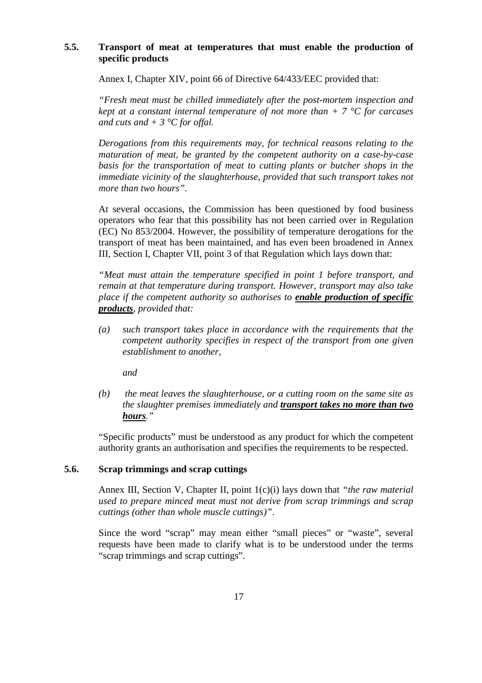## **5.5. Transport of meat at temperatures that must enable the production of specific products**

Annex I, Chapter XIV, point 66 of Directive 64/433/EEC provided that:

*"Fresh meat must be chilled immediately after the post-mortem inspection and kept at a constant internal temperature of not more than + 7 °C for carcases and cuts and + 3 °C for offal.* 

*Derogations from this requirements may, for technical reasons relating to the maturation of meat, be granted by the competent authority on a case-by-case basis for the transportation of meat to cutting plants or butcher shops in the immediate vicinity of the slaughterhouse, provided that such transport takes not more than two hours".*

At several occasions, the Commission has been questioned by food business operators who fear that this possibility has not been carried over in Regulation (EC) No 853/2004. However, the possibility of temperature derogations for the transport of meat has been maintained, and has even been broadened in Annex III, Section I, Chapter VII, point 3 of that Regulation which lays down that:

*"Meat must attain the temperature specified in point 1 before transport, and remain at that temperature during transport. However, transport may also take place if the competent authority so authorises to enable production of specific products, provided that:* 

*(a) such transport takes place in accordance with the requirements that the competent authority specifies in respect of the transport from one given establishment to another,* 

*and* 

*(b) the meat leaves the slaughterhouse, or a cutting room on the same site as the slaughter premises immediately and transport takes no more than two hours."* 

"Specific products" must be understood as any product for which the competent authority grants an authorisation and specifies the requirements to be respected.

## **5.6. Scrap trimmings and scrap cuttings**

Annex III, Section V, Chapter II, point 1(c)(i) lays down that *"the raw material used to prepare minced meat must not derive from scrap trimmings and scrap cuttings (other than whole muscle cuttings)"*.

Since the word "scrap" may mean either "small pieces" or "waste", several requests have been made to clarify what is to be understood under the terms "scrap trimmings and scrap cuttings".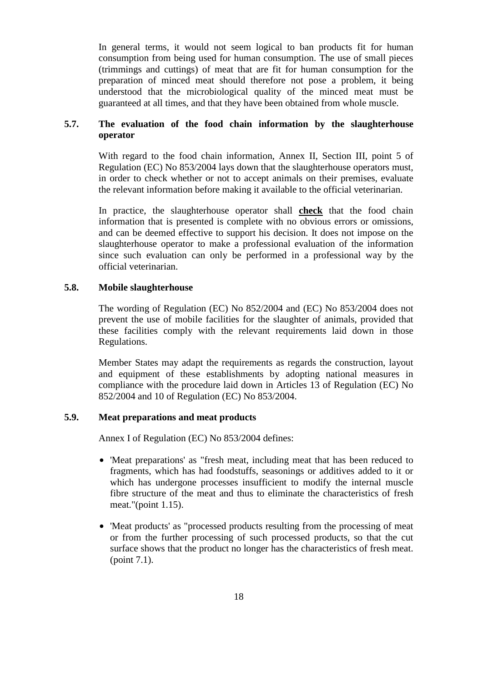In general terms, it would not seem logical to ban products fit for human consumption from being used for human consumption. The use of small pieces (trimmings and cuttings) of meat that are fit for human consumption for the preparation of minced meat should therefore not pose a problem, it being understood that the microbiological quality of the minced meat must be guaranteed at all times, and that they have been obtained from whole muscle.

## **5.7. The evaluation of the food chain information by the slaughterhouse operator**

With regard to the food chain information, Annex II, Section III, point 5 of Regulation (EC) No 853/2004 lays down that the slaughterhouse operators must, in order to check whether or not to accept animals on their premises, evaluate the relevant information before making it available to the official veterinarian.

In practice, the slaughterhouse operator shall **check** that the food chain information that is presented is complete with no obvious errors or omissions, and can be deemed effective to support his decision. It does not impose on the slaughterhouse operator to make a professional evaluation of the information since such evaluation can only be performed in a professional way by the official veterinarian.

## **5.8. Mobile slaughterhouse**

The wording of Regulation (EC) No 852/2004 and (EC) No 853/2004 does not prevent the use of mobile facilities for the slaughter of animals, provided that these facilities comply with the relevant requirements laid down in those Regulations.

Member States may adapt the requirements as regards the construction, layout and equipment of these establishments by adopting national measures in compliance with the procedure laid down in Articles 13 of Regulation (EC) No 852/2004 and 10 of Regulation (EC) No 853/2004.

## **5.9. Meat preparations and meat products**

Annex I of Regulation (EC) No 853/2004 defines:

- 'Meat preparations' as "fresh meat, including meat that has been reduced to fragments, which has had foodstuffs, seasonings or additives added to it or which has undergone processes insufficient to modify the internal muscle fibre structure of the meat and thus to eliminate the characteristics of fresh meat."(point 1.15).
- 'Meat products' as "processed products resulting from the processing of meat or from the further processing of such processed products, so that the cut surface shows that the product no longer has the characteristics of fresh meat. (point 7.1).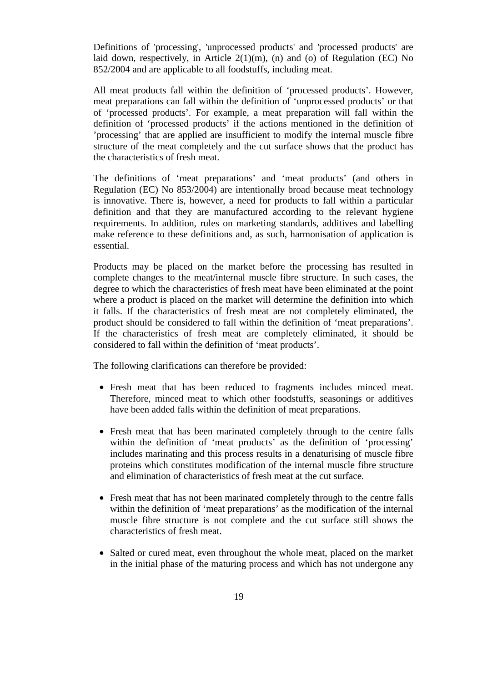Definitions of 'processing', 'unprocessed products' and 'processed products' are laid down, respectively, in Article  $2(1)(m)$ , (n) and (o) of Regulation (EC) No 852/2004 and are applicable to all foodstuffs, including meat.

All meat products fall within the definition of 'processed products'. However, meat preparations can fall within the definition of 'unprocessed products' or that of 'processed products'. For example, a meat preparation will fall within the definition of 'processed products' if the actions mentioned in the definition of 'processing' that are applied are insufficient to modify the internal muscle fibre structure of the meat completely and the cut surface shows that the product has the characteristics of fresh meat.

The definitions of 'meat preparations' and 'meat products' (and others in Regulation (EC) No 853/2004) are intentionally broad because meat technology is innovative. There is, however, a need for products to fall within a particular definition and that they are manufactured according to the relevant hygiene requirements. In addition, rules on marketing standards, additives and labelling make reference to these definitions and, as such, harmonisation of application is essential.

Products may be placed on the market before the processing has resulted in complete changes to the meat/internal muscle fibre structure. In such cases, the degree to which the characteristics of fresh meat have been eliminated at the point where a product is placed on the market will determine the definition into which it falls. If the characteristics of fresh meat are not completely eliminated, the product should be considered to fall within the definition of 'meat preparations'. If the characteristics of fresh meat are completely eliminated, it should be considered to fall within the definition of 'meat products'.

The following clarifications can therefore be provided:

- Fresh meat that has been reduced to fragments includes minced meat. Therefore, minced meat to which other foodstuffs, seasonings or additives have been added falls within the definition of meat preparations.
- Fresh meat that has been marinated completely through to the centre falls within the definition of 'meat products' as the definition of 'processing' includes marinating and this process results in a denaturising of muscle fibre proteins which constitutes modification of the internal muscle fibre structure and elimination of characteristics of fresh meat at the cut surface.
- Fresh meat that has not been marinated completely through to the centre falls within the definition of 'meat preparations' as the modification of the internal muscle fibre structure is not complete and the cut surface still shows the characteristics of fresh meat.
- Salted or cured meat, even throughout the whole meat, placed on the market in the initial phase of the maturing process and which has not undergone any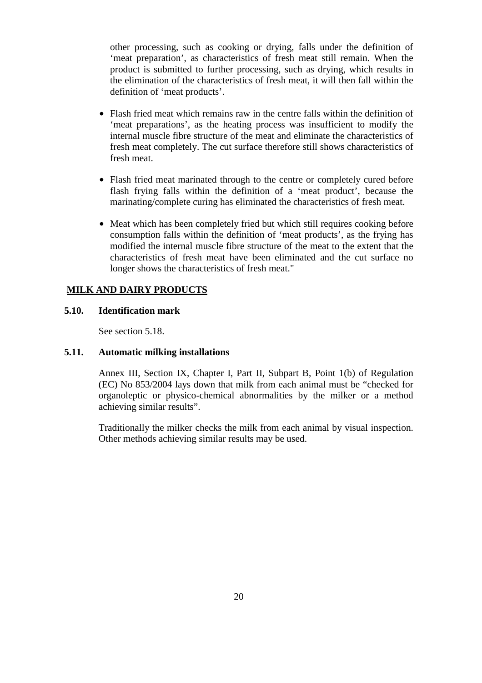other processing, such as cooking or drying, falls under the definition of 'meat preparation', as characteristics of fresh meat still remain. When the product is submitted to further processing, such as drying, which results in the elimination of the characteristics of fresh meat, it will then fall within the definition of 'meat products'.

- Flash fried meat which remains raw in the centre falls within the definition of 'meat preparations', as the heating process was insufficient to modify the internal muscle fibre structure of the meat and eliminate the characteristics of fresh meat completely. The cut surface therefore still shows characteristics of fresh meat.
- Flash fried meat marinated through to the centre or completely cured before flash frying falls within the definition of a 'meat product', because the marinating/complete curing has eliminated the characteristics of fresh meat.
- Meat which has been completely fried but which still requires cooking before consumption falls within the definition of 'meat products', as the frying has modified the internal muscle fibre structure of the meat to the extent that the characteristics of fresh meat have been eliminated and the cut surface no longer shows the characteristics of fresh meat."

## **MILK AND DAIRY PRODUCTS**

## **5.10. Identification mark**

See section 5.18.

## **5.11. Automatic milking installations**

Annex III, Section IX, Chapter I, Part II, Subpart B, Point 1(b) of Regulation (EC) No 853/2004 lays down that milk from each animal must be "checked for organoleptic or physico-chemical abnormalities by the milker or a method achieving similar results".

Traditionally the milker checks the milk from each animal by visual inspection. Other methods achieving similar results may be used.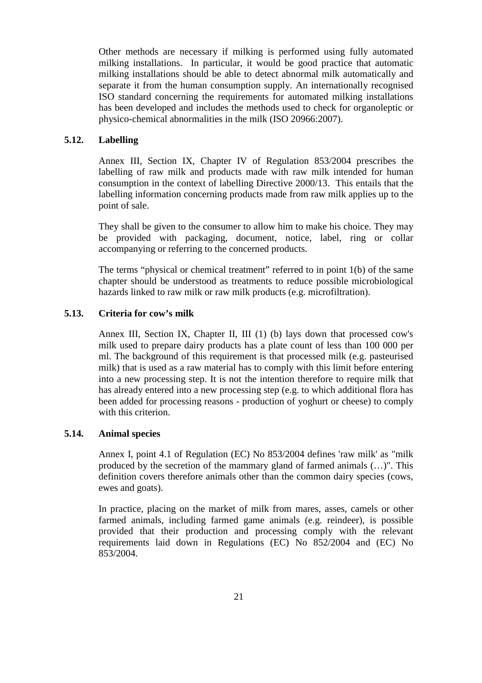Other methods are necessary if milking is performed using fully automated milking installations. In particular, it would be good practice that automatic milking installations should be able to detect abnormal milk automatically and separate it from the human consumption supply. An internationally recognised ISO standard concerning the requirements for automated milking installations has been developed and includes the methods used to check for organoleptic or physico-chemical abnormalities in the milk (ISO 20966:2007).

## **5.12. Labelling**

Annex III, Section IX, Chapter IV of Regulation 853/2004 prescribes the labelling of raw milk and products made with raw milk intended for human consumption in the context of labelling Directive 2000/13. This entails that the labelling information concerning products made from raw milk applies up to the point of sale.

They shall be given to the consumer to allow him to make his choice. They may be provided with packaging, document, notice, label, ring or collar accompanying or referring to the concerned products.

The terms "physical or chemical treatment" referred to in point 1(b) of the same chapter should be understood as treatments to reduce possible microbiological hazards linked to raw milk or raw milk products (e.g. microfiltration).

#### **5.13. Criteria for cow's milk**

Annex III, Section IX, Chapter II, III (1) (b) lays down that processed cow's milk used to prepare dairy products has a plate count of less than 100 000 per ml. The background of this requirement is that processed milk (e.g. pasteurised milk) that is used as a raw material has to comply with this limit before entering into a new processing step. It is not the intention therefore to require milk that has already entered into a new processing step (e.g. to which additional flora has been added for processing reasons - production of yoghurt or cheese) to comply with this criterion.

### **5.14. Animal species**

Annex I, point 4.1 of Regulation (EC) No 853/2004 defines 'raw milk' as "milk produced by the secretion of the mammary gland of farmed animals (…)". This definition covers therefore animals other than the common dairy species (cows, ewes and goats).

In practice, placing on the market of milk from mares, asses, camels or other farmed animals, including farmed game animals (e.g. reindeer), is possible provided that their production and processing comply with the relevant requirements laid down in Regulations (EC) No 852/2004 and (EC) No 853/2004.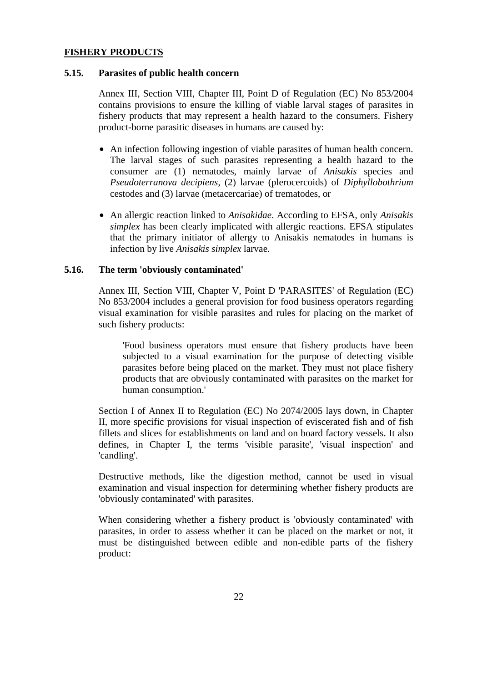#### **FISHERY PRODUCTS**

#### **5.15. Parasites of public health concern**

Annex III, Section VIII, Chapter III, Point D of Regulation (EC) No 853/2004 contains provisions to ensure the killing of viable larval stages of parasites in fishery products that may represent a health hazard to the consumers. Fishery product-borne parasitic diseases in humans are caused by:

- An infection following ingestion of viable parasites of human health concern. The larval stages of such parasites representing a health hazard to the consumer are (1) nematodes, mainly larvae of *Anisakis* species and *Pseudoterranova decipiens*, (2) larvae (plerocercoids) of *Diphyllobothrium* cestodes and (3) larvae (metacercariae) of trematodes, or
- An allergic reaction linked to *Anisakidae*. According to EFSA, only *Anisakis simplex* has been clearly implicated with allergic reactions. EFSA stipulates that the primary initiator of allergy to Anisakis nematodes in humans is infection by live *Anisakis simplex* larvae.

#### **5.16. The term 'obviously contaminated'**

Annex III, Section VIII, Chapter V, Point D 'PARASITES' of Regulation (EC) No 853/2004 includes a general provision for food business operators regarding visual examination for visible parasites and rules for placing on the market of such fishery products:

'Food business operators must ensure that fishery products have been subjected to a visual examination for the purpose of detecting visible parasites before being placed on the market. They must not place fishery products that are obviously contaminated with parasites on the market for human consumption.'

Section I of Annex II to Regulation (EC) No 2074/2005 lays down, in Chapter II, more specific provisions for visual inspection of eviscerated fish and of fish fillets and slices for establishments on land and on board factory vessels. It also defines, in Chapter I, the terms 'visible parasite', 'visual inspection' and 'candling'.

Destructive methods, like the digestion method, cannot be used in visual examination and visual inspection for determining whether fishery products are 'obviously contaminated' with parasites.

When considering whether a fishery product is 'obviously contaminated' with parasites, in order to assess whether it can be placed on the market or not, it must be distinguished between edible and non-edible parts of the fishery product: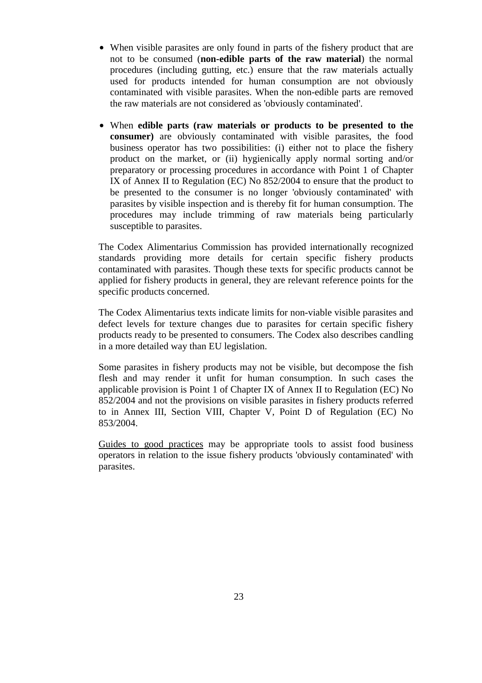- When visible parasites are only found in parts of the fishery product that are not to be consumed (**non-edible parts of the raw material**) the normal procedures (including gutting, etc.) ensure that the raw materials actually used for products intended for human consumption are not obviously contaminated with visible parasites. When the non-edible parts are removed the raw materials are not considered as 'obviously contaminated'.
- When **edible parts (raw materials or products to be presented to the consumer)** are obviously contaminated with visible parasites, the food business operator has two possibilities: (i) either not to place the fishery product on the market, or (ii) hygienically apply normal sorting and/or preparatory or processing procedures in accordance with Point 1 of Chapter IX of Annex II to Regulation (EC) No 852/2004 to ensure that the product to be presented to the consumer is no longer 'obviously contaminated' with parasites by visible inspection and is thereby fit for human consumption. The procedures may include trimming of raw materials being particularly susceptible to parasites.

The Codex Alimentarius Commission has provided internationally recognized standards providing more details for certain specific fishery products contaminated with parasites. Though these texts for specific products cannot be applied for fishery products in general, they are relevant reference points for the specific products concerned.

The Codex Alimentarius texts indicate limits for non-viable visible parasites and defect levels for texture changes due to parasites for certain specific fishery products ready to be presented to consumers. The Codex also describes candling in a more detailed way than EU legislation.

Some parasites in fishery products may not be visible, but decompose the fish flesh and may render it unfit for human consumption. In such cases the applicable provision is Point 1 of Chapter IX of Annex II to Regulation (EC) No 852/2004 and not the provisions on visible parasites in fishery products referred to in Annex III, Section VIII, Chapter V, Point D of Regulation (EC) No 853/2004.

Guides to good practices may be appropriate tools to assist food business operators in relation to the issue fishery products 'obviously contaminated' with parasites.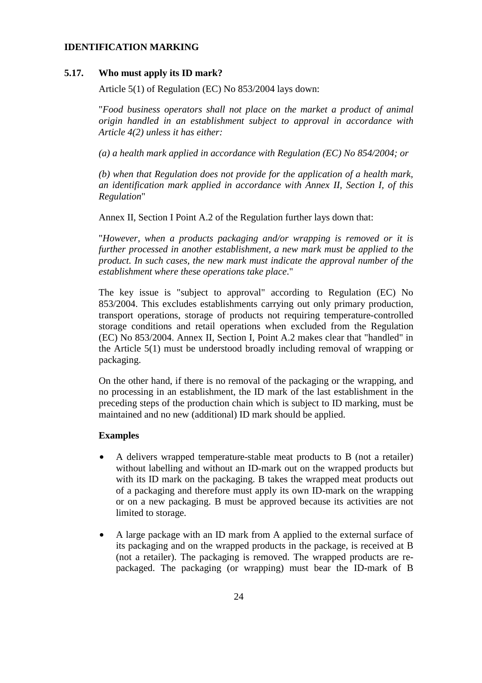## **IDENTIFICATION MARKING**

#### **5.17. Who must apply its ID mark?**

Article 5(1) of Regulation (EC) No 853/2004 lays down:

"*Food business operators shall not place on the market a product of animal origin handled in an establishment subject to approval in accordance with Article 4(2) unless it has either:* 

*(a) a health mark applied in accordance with Regulation (EC) No 854/2004; or* 

*(b) when that Regulation does not provide for the application of a health mark, an identification mark applied in accordance with Annex II, Section I, of this Regulation*"

Annex II, Section I Point A.2 of the Regulation further lays down that:

"*However, when a products packaging and/or wrapping is removed or it is further processed in another establishment, a new mark must be applied to the product. In such cases, the new mark must indicate the approval number of the establishment where these operations take place*."

The key issue is "subject to approval" according to Regulation (EC) No 853/2004. This excludes establishments carrying out only primary production, transport operations, storage of products not requiring temperature-controlled storage conditions and retail operations when excluded from the Regulation (EC) No 853/2004. Annex II, Section I, Point A.2 makes clear that "handled" in the Article 5(1) must be understood broadly including removal of wrapping or packaging.

On the other hand, if there is no removal of the packaging or the wrapping, and no processing in an establishment, the ID mark of the last establishment in the preceding steps of the production chain which is subject to ID marking, must be maintained and no new (additional) ID mark should be applied.

#### **Examples**

- A delivers wrapped temperature-stable meat products to B (not a retailer) without labelling and without an ID-mark out on the wrapped products but with its ID mark on the packaging. B takes the wrapped meat products out of a packaging and therefore must apply its own ID-mark on the wrapping or on a new packaging. B must be approved because its activities are not limited to storage.
- A large package with an ID mark from A applied to the external surface of its packaging and on the wrapped products in the package, is received at B (not a retailer). The packaging is removed. The wrapped products are repackaged. The packaging (or wrapping) must bear the ID-mark of B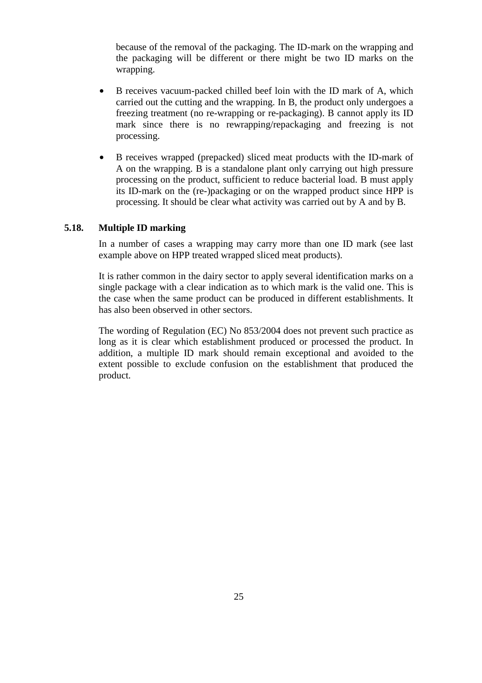because of the removal of the packaging. The ID-mark on the wrapping and the packaging will be different or there might be two ID marks on the wrapping.

- B receives vacuum-packed chilled beef loin with the ID mark of A, which carried out the cutting and the wrapping. In B, the product only undergoes a freezing treatment (no re-wrapping or re-packaging). B cannot apply its ID mark since there is no rewrapping/repackaging and freezing is not processing.
- B receives wrapped (prepacked) sliced meat products with the ID-mark of A on the wrapping. B is a standalone plant only carrying out high pressure processing on the product, sufficient to reduce bacterial load. B must apply its ID-mark on the (re-)packaging or on the wrapped product since HPP is processing. It should be clear what activity was carried out by A and by B.

## **5.18. Multiple ID marking**

In a number of cases a wrapping may carry more than one ID mark (see last example above on HPP treated wrapped sliced meat products).

It is rather common in the dairy sector to apply several identification marks on a single package with a clear indication as to which mark is the valid one. This is the case when the same product can be produced in different establishments. It has also been observed in other sectors.

The wording of Regulation (EC) No 853/2004 does not prevent such practice as long as it is clear which establishment produced or processed the product. In addition, a multiple ID mark should remain exceptional and avoided to the extent possible to exclude confusion on the establishment that produced the product.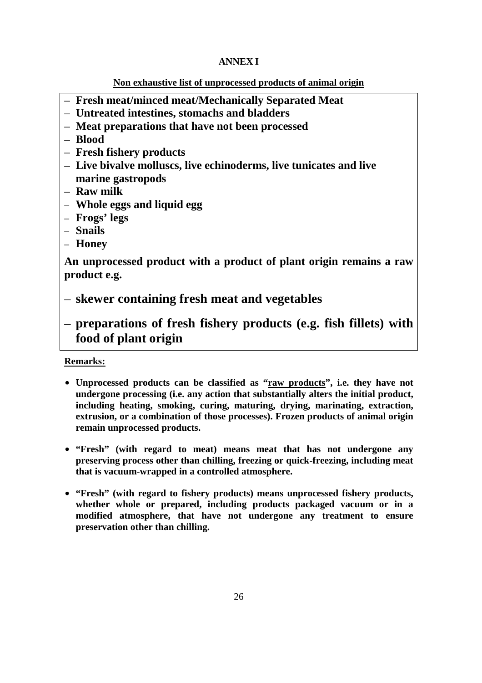## **ANNEX I**

## **Non exhaustive list of unprocessed products of animal origin**

- **Fresh meat/minced meat/Mechanically Separated Meat**
- **Untreated intestines, stomachs and bladders**
- **Meat preparations that have not been processed**
- **Blood**
- **Fresh fishery products**
- **Live bivalve molluscs, live echinoderms, live tunicates and live marine gastropods**
- **Raw milk**
- **Whole eggs and liquid egg**
- **Frogs' legs**
- **Snails**
- **Honey**

**An unprocessed product with a product of plant origin remains a raw product e.g.** 

- **skewer containing fresh meat and vegetables**
- **preparations of fresh fishery products (e.g. fish fillets) with food of plant origin**

## **Remarks:**

- **Unprocessed products can be classified as "raw products", i.e. they have not undergone processing (i.e. any action that substantially alters the initial product, including heating, smoking, curing, maturing, drying, marinating, extraction, extrusion, or a combination of those processes). Frozen products of animal origin remain unprocessed products.**
- **"Fresh" (with regard to meat) means meat that has not undergone any preserving process other than chilling, freezing or quick-freezing, including meat that is vacuum-wrapped in a controlled atmosphere.**
- **"Fresh" (with regard to fishery products) means unprocessed fishery products, whether whole or prepared, including products packaged vacuum or in a modified atmosphere, that have not undergone any treatment to ensure preservation other than chilling.**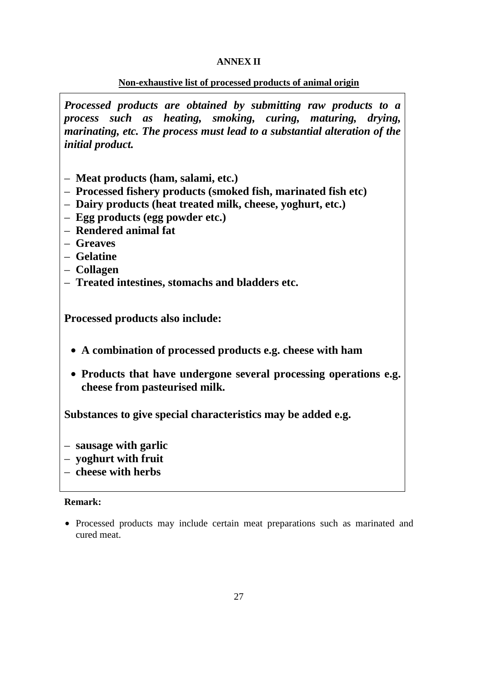## **ANNEX II**

## **Non-exhaustive list of processed products of animal origin**

*Processed products are obtained by submitting raw products to a process such as heating, smoking, curing, maturing, drying, marinating, etc. The process must lead to a substantial alteration of the initial product.* 

- **Meat products (ham, salami, etc.)**
- **Processed fishery products (smoked fish, marinated fish etc)**
- **Dairy products (heat treated milk, cheese, yoghurt, etc.)**
- **Egg products (egg powder etc.)**
- **Rendered animal fat**
- **Greaves**
- **Gelatine**
- **Collagen**
- **Treated intestines, stomachs and bladders etc.**

**Processed products also include:** 

- **A combination of processed products e.g. cheese with ham**
- **Products that have undergone several processing operations e.g. cheese from pasteurised milk.**

**Substances to give special characteristics may be added e.g.** 

- **sausage with garlic**
- **yoghurt with fruit**
- **cheese with herbs**

## **Remark:**

• Processed products may include certain meat preparations such as marinated and cured meat.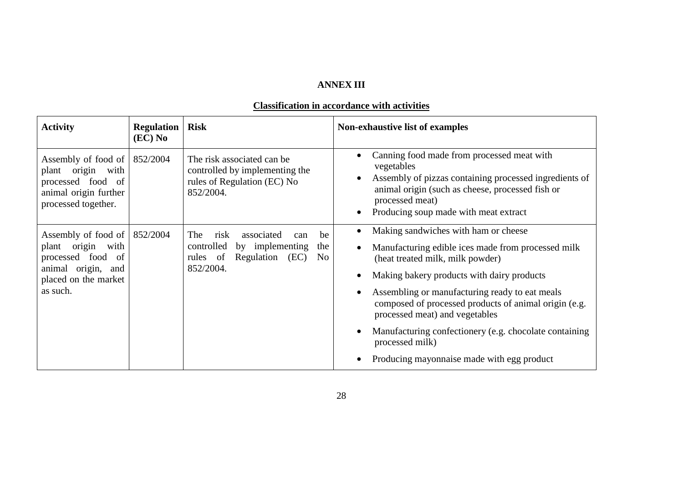## **ANNEX III**

#### **Classification in accordance with activities**

| <b>Activity</b>                                                                                                               | <b>Regulation</b><br>$(EC)$ No | <b>Risk</b>                                                                                                                                  | Non-exhaustive list of examples                                                                                                                                                                                                    |
|-------------------------------------------------------------------------------------------------------------------------------|--------------------------------|----------------------------------------------------------------------------------------------------------------------------------------------|------------------------------------------------------------------------------------------------------------------------------------------------------------------------------------------------------------------------------------|
| Assembly of food of<br>plant origin with<br>processed food of<br>animal origin further<br>processed together.                 | 852/2004                       | The risk associated can be<br>controlled by implementing the<br>rules of Regulation (EC) No<br>852/2004.                                     | Canning food made from processed meat with<br>vegetables<br>Assembly of pizzas containing processed ingredients of<br>animal origin (such as cheese, processed fish or<br>processed meat)<br>Producing soup made with meat extract |
| Assembly of food of<br>origin<br>plant<br>with<br>processed food of<br>animal origin, and<br>placed on the market<br>as such. | 852/2004                       | risk<br>associated<br>be<br>The<br>can<br>controlled<br>by implementing<br>the<br>Regulation (EC)<br>rules of<br>N <sub>0</sub><br>852/2004. | Making sandwiches with ham or cheese                                                                                                                                                                                               |
|                                                                                                                               |                                |                                                                                                                                              | Manufacturing edible ices made from processed milk<br>(heat treated milk, milk powder)                                                                                                                                             |
|                                                                                                                               |                                |                                                                                                                                              | Making bakery products with dairy products                                                                                                                                                                                         |
|                                                                                                                               |                                |                                                                                                                                              | Assembling or manufacturing ready to eat meals<br>composed of processed products of animal origin (e.g.<br>processed meat) and vegetables                                                                                          |
|                                                                                                                               |                                |                                                                                                                                              | Manufacturing confectionery (e.g. chocolate containing<br>processed milk)                                                                                                                                                          |
|                                                                                                                               |                                |                                                                                                                                              | Producing mayonnaise made with egg product                                                                                                                                                                                         |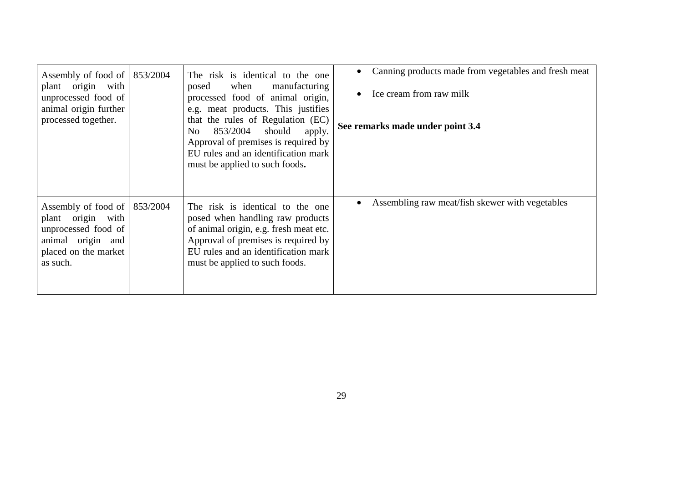| Assembly of food of<br>plant origin with<br>unprocessed food of<br>animal origin further<br>processed together.          | 853/2004 | The risk is identical to the one<br>when<br>manufacturing<br>posed<br>processed food of animal origin,<br>e.g. meat products. This justifies<br>that the rules of Regulation (EC)<br>853/2004 should<br>No<br>apply.<br>Approval of premises is required by<br>EU rules and an identification mark<br>must be applied to such foods. | Canning products made from vegetables and fresh meat<br>Ice cream from raw milk<br>See remarks made under point 3.4 |
|--------------------------------------------------------------------------------------------------------------------------|----------|--------------------------------------------------------------------------------------------------------------------------------------------------------------------------------------------------------------------------------------------------------------------------------------------------------------------------------------|---------------------------------------------------------------------------------------------------------------------|
| Assembly of food of<br>plant origin with<br>unprocessed food of<br>animal origin and<br>placed on the market<br>as such. | 853/2004 | The risk is identical to the one<br>posed when handling raw products<br>of animal origin, e.g. fresh meat etc.<br>Approval of premises is required by<br>EU rules and an identification mark<br>must be applied to such foods.                                                                                                       | Assembling raw meat/fish skewer with vegetables                                                                     |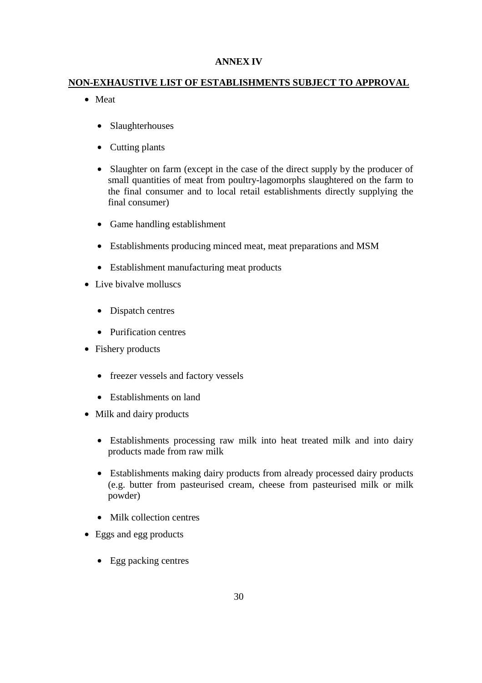## **ANNEX IV**

## **NON-EXHAUSTIVE LIST OF ESTABLISHMENTS SUBJECT TO APPROVAL**

- Meat
	- Slaughterhouses
	- Cutting plants
	- Slaughter on farm (except in the case of the direct supply by the producer of small quantities of meat from poultry-lagomorphs slaughtered on the farm to the final consumer and to local retail establishments directly supplying the final consumer)
	- Game handling establishment
	- Establishments producing minced meat, meat preparations and MSM
	- Establishment manufacturing meat products
- Live bivalve molluscs
	- Dispatch centres
	- Purification centres
- Fishery products
	- freezer vessels and factory vessels
	- Establishments on land
- Milk and dairy products
	- Establishments processing raw milk into heat treated milk and into dairy products made from raw milk
	- Establishments making dairy products from already processed dairy products (e.g. butter from pasteurised cream, cheese from pasteurised milk or milk powder)
	- Milk collection centres
- Eggs and egg products
	- Egg packing centres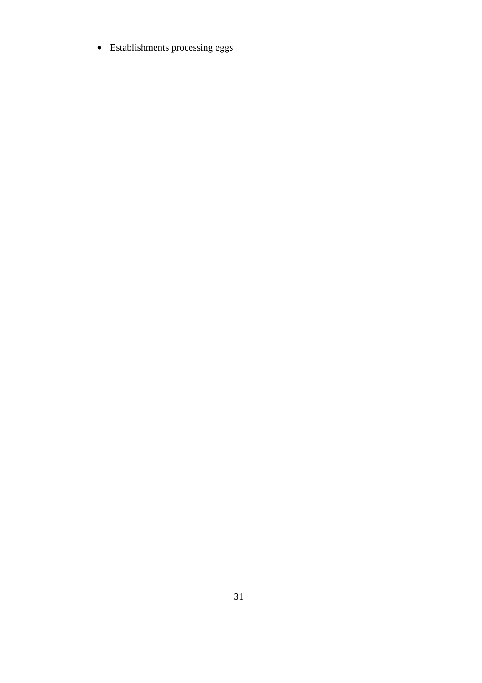• Establishments processing eggs